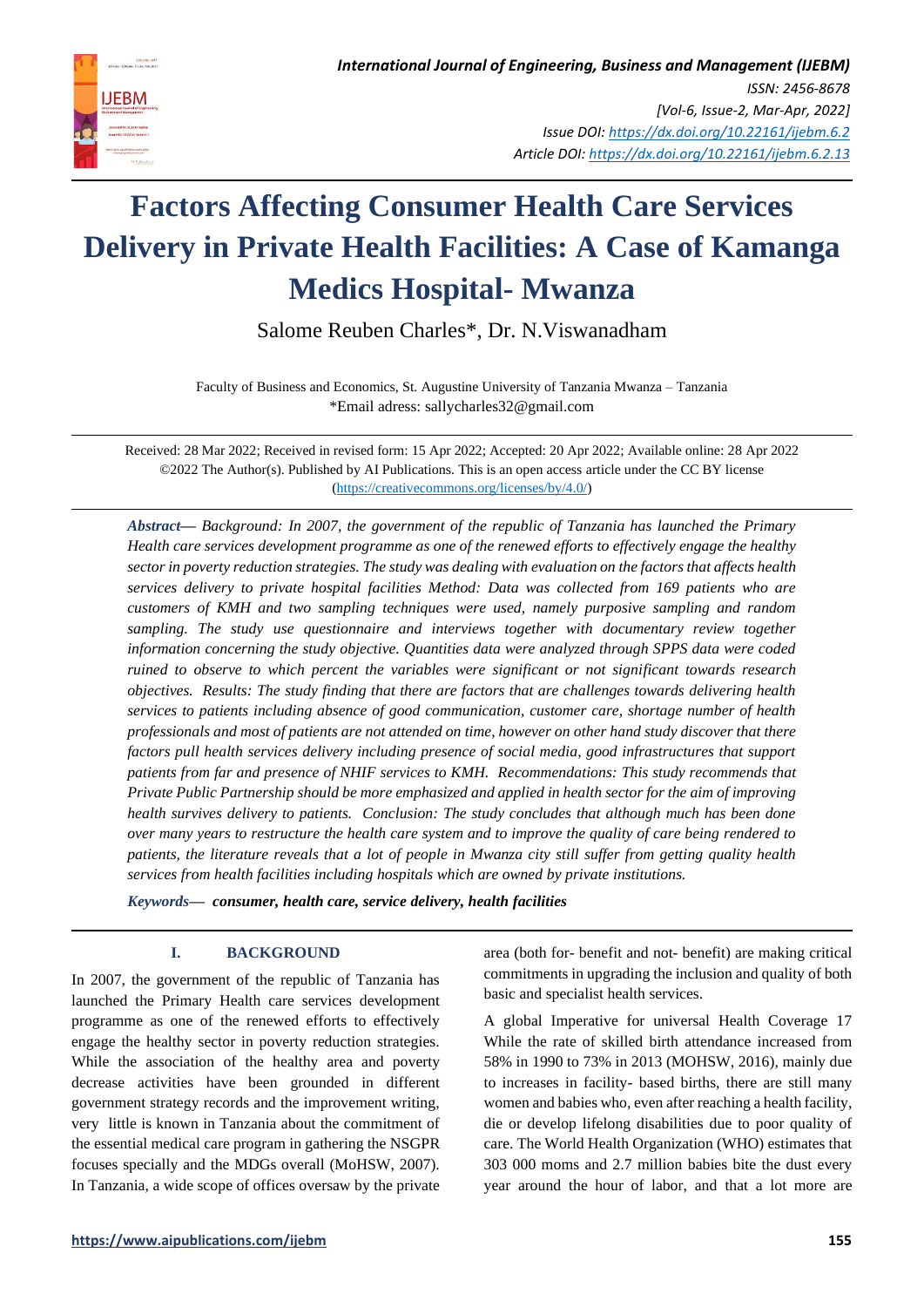

Salome Reuben Charles\*, Dr. N.Viswanadham

Faculty of Business and Economics, St. Augustine University of Tanzania Mwanza – Tanzania \*Email adress: sallycharles32@gmail.com

Received: 28 Mar 2022; Received in revised form: 15 Apr 2022; Accepted: 20 Apr 2022; Available online: 28 Apr 2022 ©2022 The Author(s). Published by AI Publications. This is an open access article under the CC BY license [\(https://creativecommons.org/licenses/by/4.0/\)](https://creativecommons.org/licenses/by/4.0/)

*Abstract— Background: In 2007, the government of the republic of Tanzania has launched the Primary Health care services development programme as one of the renewed efforts to effectively engage the healthy sector in poverty reduction strategies. The study was dealing with evaluation on the factors that affects health services delivery to private hospital facilities Method: Data was collected from 169 patients who are customers of KMH and two sampling techniques were used, namely purposive sampling and random sampling. The study use questionnaire and interviews together with documentary review together information concerning the study objective. Quantities data were analyzed through SPPS data were coded ruined to observe to which percent the variables were significant or not significant towards research objectives. Results: The study finding that there are factors that are challenges towards delivering health services to patients including absence of good communication, customer care, shortage number of health professionals and most of patients are not attended on time, however on other hand study discover that there factors pull health services delivery including presence of social media, good infrastructures that support patients from far and presence of NHIF services to KMH. Recommendations: This study recommends that Private Public Partnership should be more emphasized and applied in health sector for the aim of improving health survives delivery to patients. Conclusion: The study concludes that although much has been done over many years to restructure the health care system and to improve the quality of care being rendered to patients, the literature reveals that a lot of people in Mwanza city still suffer from getting quality health services from health facilities including hospitals which are owned by private institutions.*

*Keywords— consumer, health care, service delivery, health facilities*

# **I. BACKGROUND**

In 2007, the government of the republic of Tanzania has launched the Primary Health care services development programme as one of the renewed efforts to effectively engage the healthy sector in poverty reduction strategies. While the association of the healthy area and poverty decrease activities have been grounded in different government strategy records and the improvement writing, very little is known in Tanzania about the commitment of the essential medical care program in gathering the NSGPR focuses specially and the MDGs overall (MoHSW, 2007). In Tanzania, a wide scope of offices oversaw by the private

area (both for- benefit and not- benefit) are making critical commitments in upgrading the inclusion and quality of both basic and specialist health services.

A global Imperative for universal Health Coverage 17 While the rate of skilled birth attendance increased from 58% in 1990 to 73% in 2013 (MOHSW, 2016), mainly due to increases in facility- based births, there are still many women and babies who, even after reaching a health facility, die or develop lifelong disabilities due to poor quality of care. The World Health Organization (WHO) estimates that 303 000 moms and 2.7 million babies bite the dust every year around the hour of labor, and that a lot more are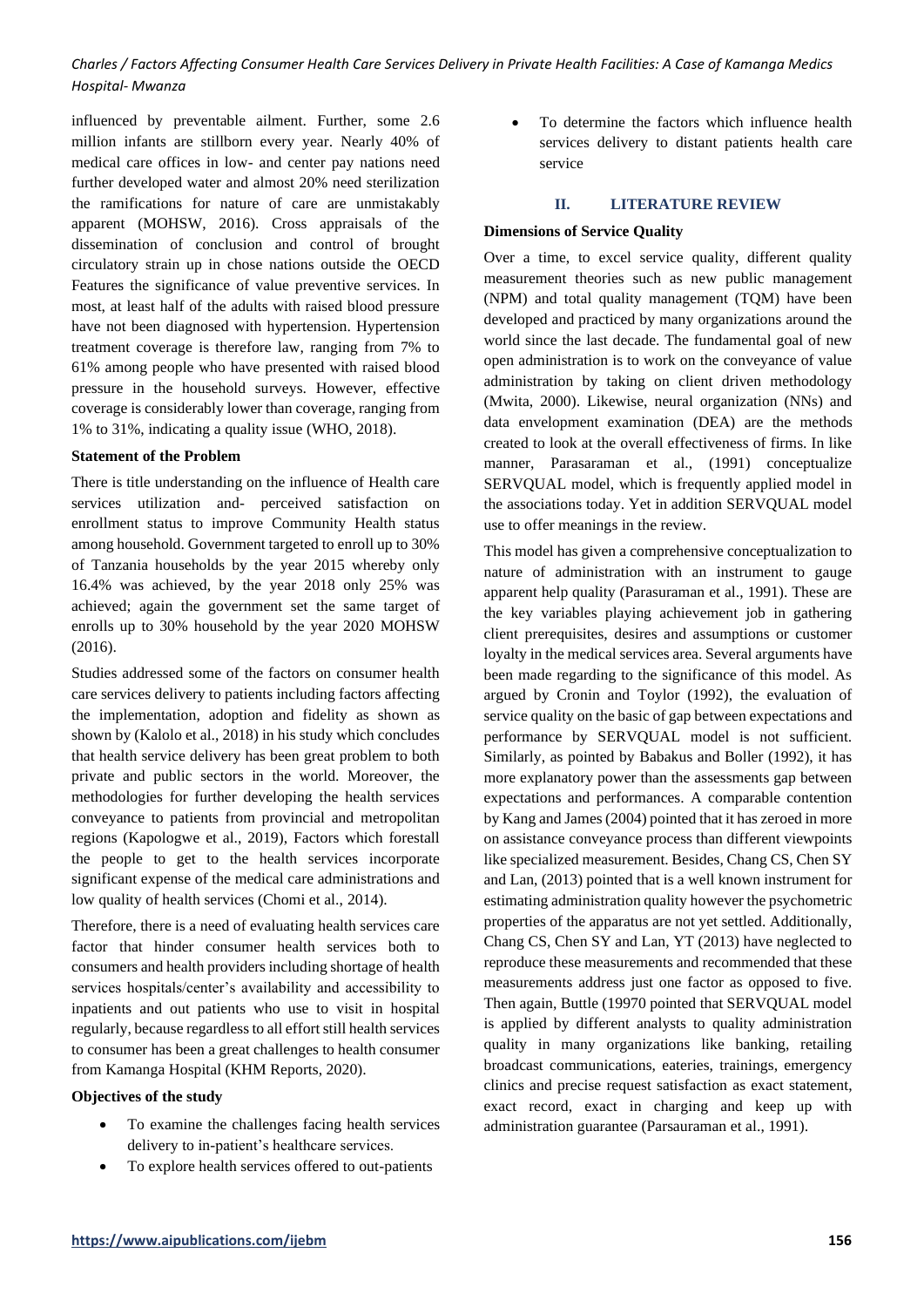influenced by preventable ailment. Further, some 2.6 million infants are stillborn every year. Nearly 40% of medical care offices in low- and center pay nations need further developed water and almost 20% need sterilization the ramifications for nature of care are unmistakably apparent (MOHSW, 2016). Cross appraisals of the dissemination of conclusion and control of brought circulatory strain up in chose nations outside the OECD Features the significance of value preventive services. In most, at least half of the adults with raised blood pressure have not been diagnosed with hypertension. Hypertension treatment coverage is therefore law, ranging from 7% to 61% among people who have presented with raised blood pressure in the household surveys. However, effective coverage is considerably lower than coverage, ranging from 1% to 31%, indicating a quality issue (WHO, 2018).

# **Statement of the Problem**

There is title understanding on the influence of Health care services utilization and- perceived satisfaction on enrollment status to improve Community Health status among household. Government targeted to enroll up to 30% of Tanzania households by the year 2015 whereby only 16.4% was achieved, by the year 2018 only 25% was achieved; again the government set the same target of enrolls up to 30% household by the year 2020 MOHSW (2016).

Studies addressed some of the factors on consumer health care services delivery to patients including factors affecting the implementation, adoption and fidelity as shown as shown by (Kalolo et al., 2018) in his study which concludes that health service delivery has been great problem to both private and public sectors in the world. Moreover, the methodologies for further developing the health services conveyance to patients from provincial and metropolitan regions (Kapologwe et al., 2019), Factors which forestall the people to get to the health services incorporate significant expense of the medical care administrations and low quality of health services (Chomi et al., 2014).

Therefore, there is a need of evaluating health services care factor that hinder consumer health services both to consumers and health providers including shortage of health services hospitals/center's availability and accessibility to inpatients and out patients who use to visit in hospital regularly, because regardless to all effort still health services to consumer has been a great challenges to health consumer from Kamanga Hospital (KHM Reports, 2020).

# **Objectives of the study**

- To examine the challenges facing health services delivery to in-patient's healthcare services.
- To explore health services offered to out-patients

• To determine the factors which influence health services delivery to distant patients health care service

#### **II. LITERATURE REVIEW**

# **Dimensions of Service Quality**

Over a time, to excel service quality, different quality measurement theories such as new public management (NPM) and total quality management (TQM) have been developed and practiced by many organizations around the world since the last decade. The fundamental goal of new open administration is to work on the conveyance of value administration by taking on client driven methodology (Mwita, 2000). Likewise, neural organization (NNs) and data envelopment examination (DEA) are the methods created to look at the overall effectiveness of firms. In like manner, Parasaraman et al., (1991) conceptualize SERVQUAL model, which is frequently applied model in the associations today. Yet in addition SERVQUAL model use to offer meanings in the review.

This model has given a comprehensive conceptualization to nature of administration with an instrument to gauge apparent help quality (Parasuraman et al., 1991). These are the key variables playing achievement job in gathering client prerequisites, desires and assumptions or customer loyalty in the medical services area. Several arguments have been made regarding to the significance of this model. As argued by Cronin and Toylor (1992), the evaluation of service quality on the basic of gap between expectations and performance by SERVQUAL model is not sufficient. Similarly, as pointed by Babakus and Boller (1992), it has more explanatory power than the assessments gap between expectations and performances. A comparable contention by Kang and James (2004) pointed that it has zeroed in more on assistance conveyance process than different viewpoints like specialized measurement. Besides, Chang CS, Chen SY and Lan, (2013) pointed that is a well known instrument for estimating administration quality however the psychometric properties of the apparatus are not yet settled. Additionally, Chang CS, Chen SY and Lan, YT (2013) have neglected to reproduce these measurements and recommended that these measurements address just one factor as opposed to five. Then again, Buttle (19970 pointed that SERVQUAL model is applied by different analysts to quality administration quality in many organizations like banking, retailing broadcast communications, eateries, trainings, emergency clinics and precise request satisfaction as exact statement, exact record, exact in charging and keep up with administration guarantee (Parsauraman et al., 1991).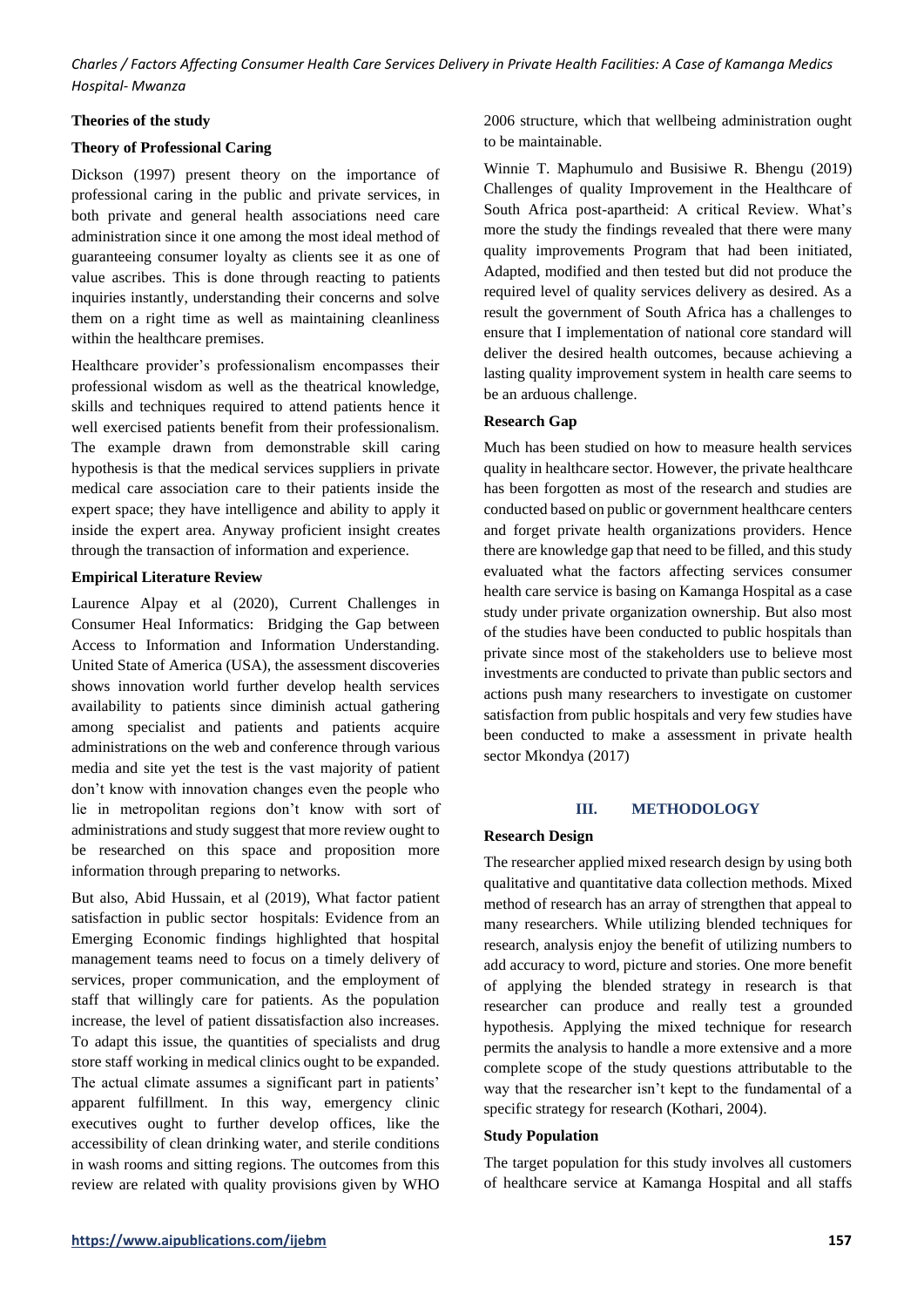#### **Theories of the study**

#### **Theory of Professional Caring**

Dickson (1997) present theory on the importance of professional caring in the public and private services, in both private and general health associations need care administration since it one among the most ideal method of guaranteeing consumer loyalty as clients see it as one of value ascribes. This is done through reacting to patients inquiries instantly, understanding their concerns and solve them on a right time as well as maintaining cleanliness within the healthcare premises.

Healthcare provider's professionalism encompasses their professional wisdom as well as the theatrical knowledge, skills and techniques required to attend patients hence it well exercised patients benefit from their professionalism. The example drawn from demonstrable skill caring hypothesis is that the medical services suppliers in private medical care association care to their patients inside the expert space; they have intelligence and ability to apply it inside the expert area. Anyway proficient insight creates through the transaction of information and experience.

# **Empirical Literature Review**

Laurence Alpay et al (2020), Current Challenges in Consumer Heal Informatics: Bridging the Gap between Access to Information and Information Understanding. United State of America (USA), the assessment discoveries shows innovation world further develop health services availability to patients since diminish actual gathering among specialist and patients and patients acquire administrations on the web and conference through various media and site yet the test is the vast majority of patient don't know with innovation changes even the people who lie in metropolitan regions don't know with sort of administrations and study suggest that more review ought to be researched on this space and proposition more information through preparing to networks.

But also, Abid Hussain, et al (2019), What factor patient satisfaction in public sector hospitals: Evidence from an Emerging Economic findings highlighted that hospital management teams need to focus on a timely delivery of services, proper communication, and the employment of staff that willingly care for patients. As the population increase, the level of patient dissatisfaction also increases. To adapt this issue, the quantities of specialists and drug store staff working in medical clinics ought to be expanded. The actual climate assumes a significant part in patients' apparent fulfillment. In this way, emergency clinic executives ought to further develop offices, like the accessibility of clean drinking water, and sterile conditions in wash rooms and sitting regions. The outcomes from this review are related with quality provisions given by WHO 2006 structure, which that wellbeing administration ought to be maintainable.

Winnie T. Maphumulo and Busisiwe R. Bhengu (2019) Challenges of quality Improvement in the Healthcare of South Africa post-apartheid: A critical Review. What's more the study the findings revealed that there were many quality improvements Program that had been initiated, Adapted, modified and then tested but did not produce the required level of quality services delivery as desired. As a result the government of South Africa has a challenges to ensure that I implementation of national core standard will deliver the desired health outcomes, because achieving a lasting quality improvement system in health care seems to be an arduous challenge.

#### **Research Gap**

Much has been studied on how to measure health services quality in healthcare sector. However, the private healthcare has been forgotten as most of the research and studies are conducted based on public or government healthcare centers and forget private health organizations providers. Hence there are knowledge gap that need to be filled, and this study evaluated what the factors affecting services consumer health care service is basing on Kamanga Hospital as a case study under private organization ownership. But also most of the studies have been conducted to public hospitals than private since most of the stakeholders use to believe most investments are conducted to private than public sectors and actions push many researchers to investigate on customer satisfaction from public hospitals and very few studies have been conducted to make a assessment in private health sector Mkondya (2017)

# **III. METHODOLOGY**

#### **Research Design**

The researcher applied mixed research design by using both qualitative and quantitative data collection methods. Mixed method of research has an array of strengthen that appeal to many researchers. While utilizing blended techniques for research, analysis enjoy the benefit of utilizing numbers to add accuracy to word, picture and stories. One more benefit of applying the blended strategy in research is that researcher can produce and really test a grounded hypothesis. Applying the mixed technique for research permits the analysis to handle a more extensive and a more complete scope of the study questions attributable to the way that the researcher isn't kept to the fundamental of a specific strategy for research (Kothari, 2004).

#### **Study Population**

The target population for this study involves all customers of healthcare service at Kamanga Hospital and all staffs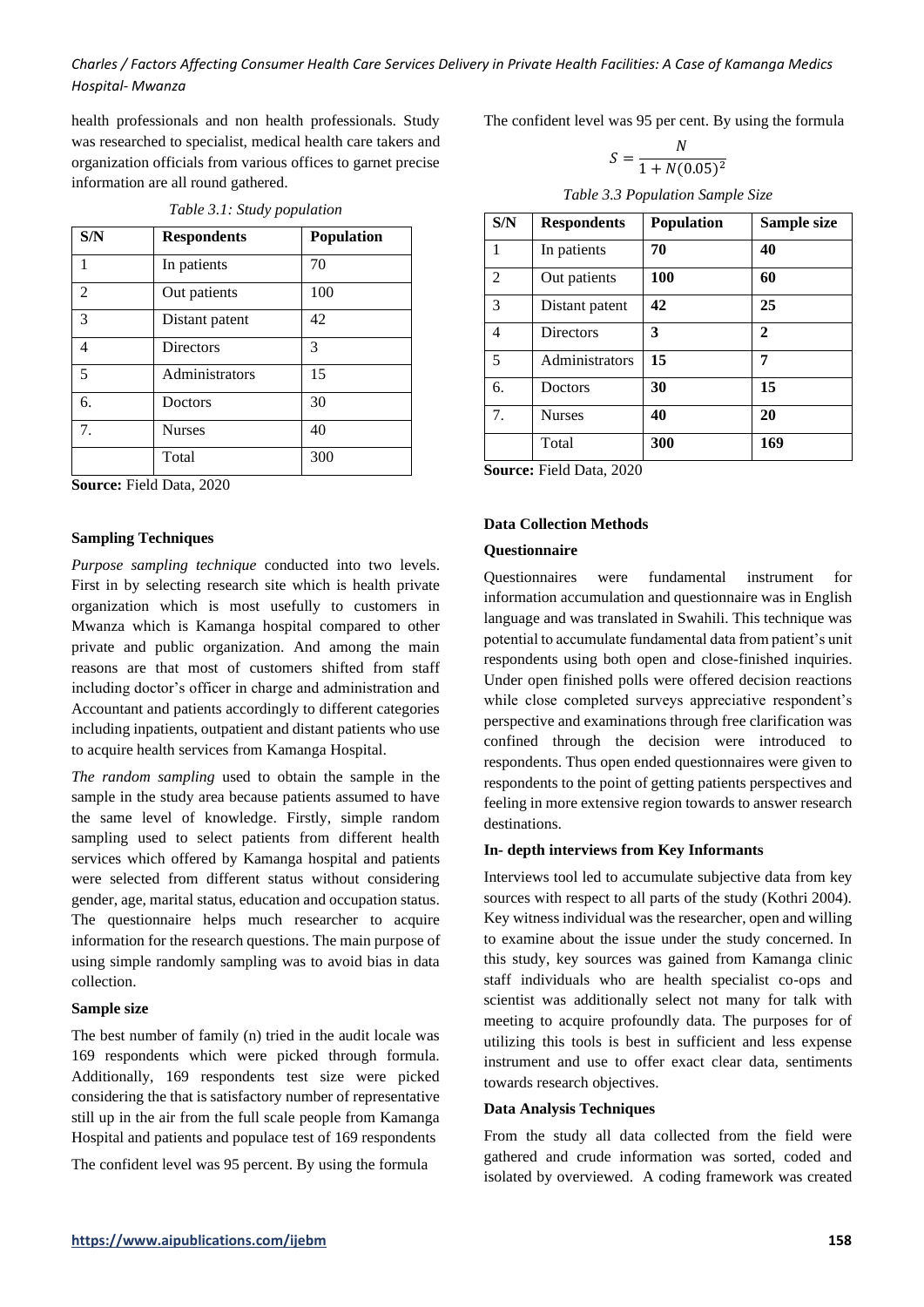health professionals and non health professionals. Study was researched to specialist, medical health care takers and organization officials from various offices to garnet precise information are all round gathered.

|  | Table 3.1: Study population |
|--|-----------------------------|
|  |                             |

| S/N            | <b>Respondents</b> | <b>Population</b> |
|----------------|--------------------|-------------------|
| 1              | In patients        | 70                |
| $\overline{c}$ | Out patients       | 100               |
| 3              | Distant patent     | 42                |
| 4              | <b>Directors</b>   | 3                 |
| 5              | Administrators     | 15                |
| 6.             | Doctors            | 30                |
| 7.             | <b>Nurses</b>      | 40                |
|                | Total              | 300               |

**Source:** Field Data, 2020

#### **Sampling Techniques**

*Purpose sampling technique* conducted into two levels. First in by selecting research site which is health private organization which is most usefully to customers in Mwanza which is Kamanga hospital compared to other private and public organization. And among the main reasons are that most of customers shifted from staff including doctor's officer in charge and administration and Accountant and patients accordingly to different categories including inpatients, outpatient and distant patients who use to acquire health services from Kamanga Hospital.

*The random sampling* used to obtain the sample in the sample in the study area because patients assumed to have the same level of knowledge. Firstly, simple random sampling used to select patients from different health services which offered by Kamanga hospital and patients were selected from different status without considering gender, age, marital status, education and occupation status. The questionnaire helps much researcher to acquire information for the research questions. The main purpose of using simple randomly sampling was to avoid bias in data collection.

#### **Sample size**

The best number of family (n) tried in the audit locale was 169 respondents which were picked through formula. Additionally, 169 respondents test size were picked considering the that is satisfactory number of representative still up in the air from the full scale people from Kamanga Hospital and patients and populace test of 169 respondents

The confident level was 95 percent. By using the formula

The confident level was 95 per cent. By using the formula

$$
S = \frac{N}{1 + N(0.05)^2}
$$

| S/N            | <b>Respondents</b> | <b>Population</b> | Sample size  |
|----------------|--------------------|-------------------|--------------|
| $\mathbf{1}$   | In patients        | 70                | 40           |
| $\overline{2}$ | Out patients       | 100               | 60           |
| 3              | Distant patent     | 42                | 25           |
| $\overline{4}$ | <b>Directors</b>   | 3                 | $\mathbf{2}$ |
| 5              | Administrators     | 15                | 7            |
| 6.             | Doctors            | 30                | 15           |
| 7 <sub>1</sub> | <b>Nurses</b>      | 40                | 20           |
|                | Total              | 300               | 169          |

**Source:** Field Data, 2020

# **Data Collection Methods**

# **Questionnaire**

Questionnaires were fundamental instrument for information accumulation and questionnaire was in English language and was translated in Swahili. This technique was potential to accumulate fundamental data from patient's unit respondents using both open and close-finished inquiries. Under open finished polls were offered decision reactions while close completed surveys appreciative respondent's perspective and examinations through free clarification was confined through the decision were introduced to respondents. Thus open ended questionnaires were given to respondents to the point of getting patients perspectives and feeling in more extensive region towards to answer research destinations.

#### **In- depth interviews from Key Informants**

Interviews tool led to accumulate subjective data from key sources with respect to all parts of the study (Kothri 2004). Key witness individual was the researcher, open and willing to examine about the issue under the study concerned. In this study, key sources was gained from Kamanga clinic staff individuals who are health specialist co-ops and scientist was additionally select not many for talk with meeting to acquire profoundly data. The purposes for of utilizing this tools is best in sufficient and less expense instrument and use to offer exact clear data, sentiments towards research objectives.

#### **Data Analysis Techniques**

From the study all data collected from the field were gathered and crude information was sorted, coded and isolated by overviewed. A coding framework was created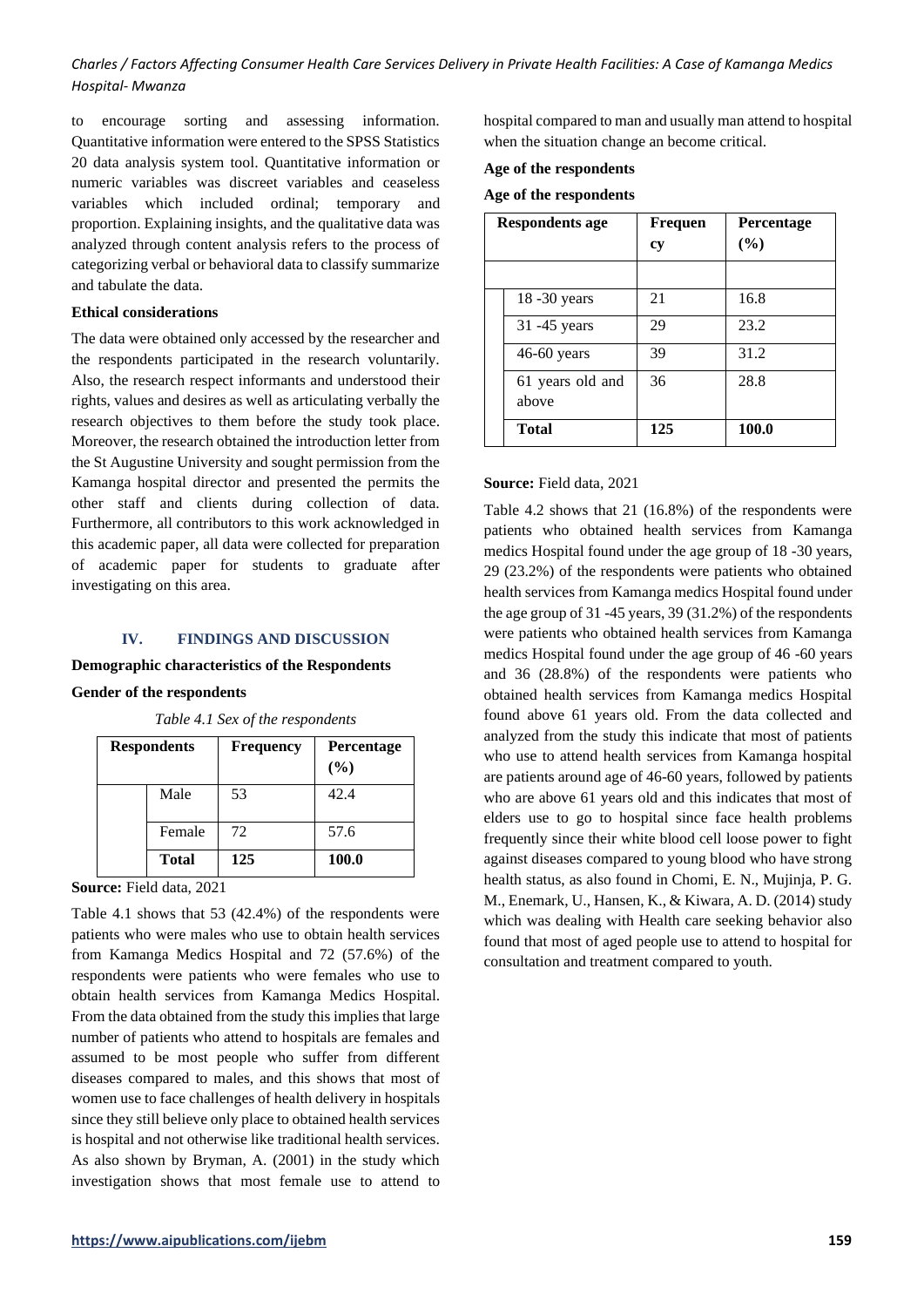to encourage sorting and assessing information. Quantitative information were entered to the SPSS Statistics 20 data analysis system tool. Quantitative information or numeric variables was discreet variables and ceaseless variables which included ordinal; temporary and proportion. Explaining insights, and the qualitative data was analyzed through content analysis refers to the process of categorizing verbal or behavioral data to classify summarize and tabulate the data.

# **Ethical considerations**

The data were obtained only accessed by the researcher and the respondents participated in the research voluntarily. Also, the research respect informants and understood their rights, values and desires as well as articulating verbally the research objectives to them before the study took place. Moreover, the research obtained the introduction letter from the St Augustine University and sought permission from the Kamanga hospital director and presented the permits the other staff and clients during collection of data. Furthermore, all contributors to this work acknowledged in this academic paper, all data were collected for preparation of academic paper for students to graduate after investigating on this area.

# **IV. FINDINGS AND DISCUSSION**

#### **Demographic characteristics of the Respondents**

#### **Gender of the respondents**

| <b>Respondents</b> | <b>Frequency</b> | Percentage<br>$($ %) |
|--------------------|------------------|----------------------|
| Male               | 53               | 42.4                 |
| Female             | 72               | 57.6                 |
| <b>Total</b>       | 125              | 100.0                |

*Table 4.1 Sex of the respondents*

**Source:** Field data, 2021

Table 4.1 shows that 53 (42.4%) of the respondents were patients who were males who use to obtain health services from Kamanga Medics Hospital and 72 (57.6%) of the respondents were patients who were females who use to obtain health services from Kamanga Medics Hospital. From the data obtained from the study this implies that large number of patients who attend to hospitals are females and assumed to be most people who suffer from different diseases compared to males, and this shows that most of women use to face challenges of health delivery in hospitals since they still believe only place to obtained health services is hospital and not otherwise like traditional health services. As also shown by Bryman, A. (2001) in the study which investigation shows that most female use to attend to

hospital compared to man and usually man attend to hospital when the situation change an become critical.

#### **Age of the respondents**

#### **Age of the respondents**

| Respondents age           | Frequen<br>cy | <b>Percentage</b><br>(%) |
|---------------------------|---------------|--------------------------|
|                           |               |                          |
| $18 - 30$ years           | 21            | 16.8                     |
| 31 -45 years              | 29            | 23.2                     |
| 46-60 years               | 39            | 31.2                     |
| 61 years old and<br>above | 36            | 28.8                     |
| <b>Total</b>              | 125           | 100.0                    |

#### **Source:** Field data, 2021

Table 4.2 shows that 21 (16.8%) of the respondents were patients who obtained health services from Kamanga medics Hospital found under the age group of 18 -30 years, 29 (23.2%) of the respondents were patients who obtained health services from Kamanga medics Hospital found under the age group of 31 -45 years, 39 (31.2%) of the respondents were patients who obtained health services from Kamanga medics Hospital found under the age group of 46 -60 years and 36 (28.8%) of the respondents were patients who obtained health services from Kamanga medics Hospital found above 61 years old. From the data collected and analyzed from the study this indicate that most of patients who use to attend health services from Kamanga hospital are patients around age of 46-60 years, followed by patients who are above 61 years old and this indicates that most of elders use to go to hospital since face health problems frequently since their white blood cell loose power to fight against diseases compared to young blood who have strong health status, as also found in Chomi, E. N., Mujinja, P. G. M., Enemark, U., Hansen, K., & Kiwara, A. D. (2014) study which was dealing with Health care seeking behavior also found that most of aged people use to attend to hospital for consultation and treatment compared to youth.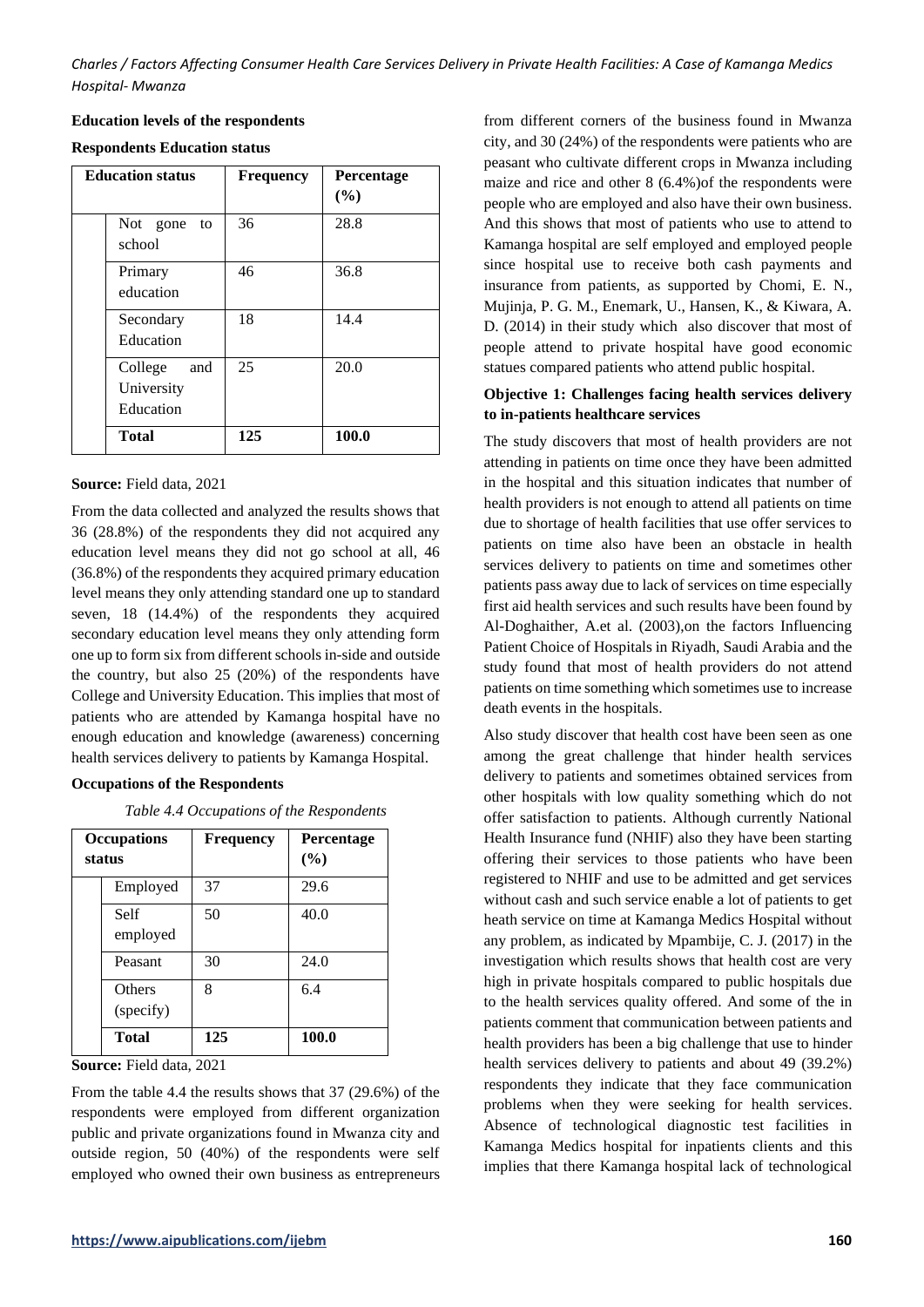**Education levels of the respondents**

| <b>Respondents Education status</b> |  |  |
|-------------------------------------|--|--|
|-------------------------------------|--|--|

| <b>Education status</b>                   | <b>Frequency</b> | <b>Percentage</b><br>(%) |
|-------------------------------------------|------------------|--------------------------|
| Not gone<br>to<br>school                  | 36               | 28.8                     |
| Primary<br>education                      | 46               | 36.8                     |
| Secondary<br>Education                    | 18               | 14.4                     |
| College<br>and<br>University<br>Education | 25               | 20.0                     |
| <b>Total</b>                              | 125              | 100.0                    |

#### **Source:** Field data, 2021

From the data collected and analyzed the results shows that 36 (28.8%) of the respondents they did not acquired any education level means they did not go school at all, 46 (36.8%) of the respondents they acquired primary education level means they only attending standard one up to standard seven, 18 (14.4%) of the respondents they acquired secondary education level means they only attending form one up to form six from different schools in-side and outside the country, but also 25 (20%) of the respondents have College and University Education. This implies that most of patients who are attended by Kamanga hospital have no enough education and knowledge (awareness) concerning health services delivery to patients by Kamanga Hospital.

# **Occupations of the Respondents**

*Table 4.4 Occupations of the Respondents*

| <b>Occupations</b><br>status | <b>Frequency</b> | Percentage<br>(%) |
|------------------------------|------------------|-------------------|
| Employed                     | 37               | 29.6              |
| Self<br>employed             | 50               | 40.0              |
| Peasant                      | 30               | 24.0              |
| Others<br>(specify)          | 8                | 6.4               |
| <b>Total</b>                 | 125              | 100.0             |

**Source:** Field data, 2021

From the table 4.4 the results shows that 37 (29.6%) of the respondents were employed from different organization public and private organizations found in Mwanza city and outside region, 50 (40%) of the respondents were self employed who owned their own business as entrepreneurs from different corners of the business found in Mwanza city, and 30 (24%) of the respondents were patients who are peasant who cultivate different crops in Mwanza including maize and rice and other 8 (6.4%)of the respondents were people who are employed and also have their own business. And this shows that most of patients who use to attend to Kamanga hospital are self employed and employed people since hospital use to receive both cash payments and insurance from patients, as supported by Chomi, E. N., Mujinja, P. G. M., Enemark, U., Hansen, K., & Kiwara, A. D. (2014) in their study which also discover that most of people attend to private hospital have good economic statues compared patients who attend public hospital.

# **Objective 1: Challenges facing health services delivery to in-patients healthcare services**

The study discovers that most of health providers are not attending in patients on time once they have been admitted in the hospital and this situation indicates that number of health providers is not enough to attend all patients on time due to shortage of health facilities that use offer services to patients on time also have been an obstacle in health services delivery to patients on time and sometimes other patients pass away due to lack of services on time especially first aid health services and such results have been found by Al-Doghaither, A.et al. (2003),on the factors Influencing Patient Choice of Hospitals in Riyadh, Saudi Arabia and the study found that most of health providers do not attend patients on time something which sometimes use to increase death events in the hospitals.

Also study discover that health cost have been seen as one among the great challenge that hinder health services delivery to patients and sometimes obtained services from other hospitals with low quality something which do not offer satisfaction to patients. Although currently National Health Insurance fund (NHIF) also they have been starting offering their services to those patients who have been registered to NHIF and use to be admitted and get services without cash and such service enable a lot of patients to get heath service on time at Kamanga Medics Hospital without any problem, as indicated by Mpambije, C. J. (2017) in the investigation which results shows that health cost are very high in private hospitals compared to public hospitals due to the health services quality offered. And some of the in patients comment that communication between patients and health providers has been a big challenge that use to hinder health services delivery to patients and about 49 (39.2%) respondents they indicate that they face communication problems when they were seeking for health services. Absence of technological diagnostic test facilities in Kamanga Medics hospital for inpatients clients and this implies that there Kamanga hospital lack of technological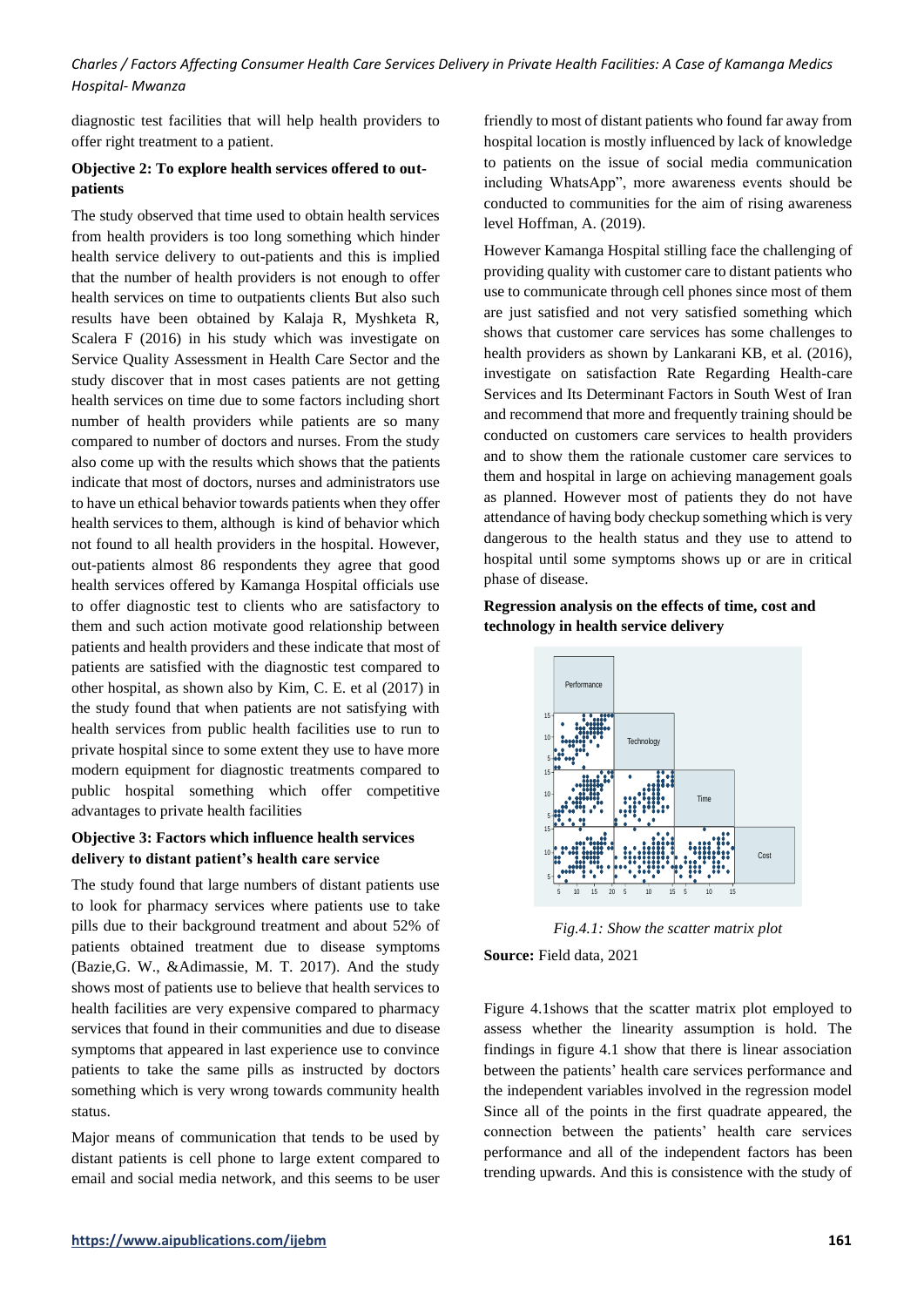diagnostic test facilities that will help health providers to offer right treatment to a patient.

# **Objective 2: To explore health services offered to outpatients**

The study observed that time used to obtain health services from health providers is too long something which hinder health service delivery to out-patients and this is implied that the number of health providers is not enough to offer health services on time to outpatients clients But also such results have been obtained by Kalaja R, Myshketa R, Scalera F (2016) in his study which was investigate on Service Quality Assessment in Health Care Sector and the study discover that in most cases patients are not getting health services on time due to some factors including short number of health providers while patients are so many compared to number of doctors and nurses. From the study also come up with the results which shows that the patients indicate that most of doctors, nurses and administrators use to have un ethical behavior towards patients when they offer health services to them, although is kind of behavior which not found to all health providers in the hospital. However, out-patients almost 86 respondents they agree that good health services offered by Kamanga Hospital officials use to offer diagnostic test to clients who are satisfactory to them and such action motivate good relationship between patients and health providers and these indicate that most of patients are satisfied with the diagnostic test compared to other hospital, as shown also by Kim, C. E. et al (2017) in the study found that when patients are not satisfying with health services from public health facilities use to run to private hospital since to some extent they use to have more modern equipment for diagnostic treatments compared to public hospital something which offer competitive advantages to private health facilities

# **Objective 3: Factors which influence health services delivery to distant patient's health care service**

The study found that large numbers of distant patients use to look for pharmacy services where patients use to take pills due to their background treatment and about 52% of patients obtained treatment due to disease symptoms (Bazie,G. W., &Adimassie, M. T. 2017). And the study shows most of patients use to believe that health services to health facilities are very expensive compared to pharmacy services that found in their communities and due to disease symptoms that appeared in last experience use to convince patients to take the same pills as instructed by doctors something which is very wrong towards community health status.

Major means of communication that tends to be used by distant patients is cell phone to large extent compared to email and social media network, and this seems to be user friendly to most of distant patients who found far away from hospital location is mostly influenced by lack of knowledge to patients on the issue of social media communication including WhatsApp", more awareness events should be conducted to communities for the aim of rising awareness level Hoffman, A. (2019).

However Kamanga Hospital stilling face the challenging of providing quality with customer care to distant patients who use to communicate through cell phones since most of them are just satisfied and not very satisfied something which shows that customer care services has some challenges to health providers as shown by Lankarani KB, et al. (2016), investigate on satisfaction Rate Regarding Health-care Services and Its Determinant Factors in South West of Iran and recommend that more and frequently training should be conducted on customers care services to health providers and to show them the rationale customer care services to them and hospital in large on achieving management goals as planned. However most of patients they do not have attendance of having body checkup something which is very dangerous to the health status and they use to attend to hospital until some symptoms shows up or are in critical phase of disease.

# **Regression analysis on the effects of time, cost and technology in health service delivery**



*Fig.4.1: Show the scatter matrix plot*

**Source:** Field data, 2021

Figure 4.1shows that the scatter matrix plot employed to assess whether the linearity assumption is hold. The findings in figure 4.1 show that there is linear association between the patients' health care services performance and the independent variables involved in the regression model Since all of the points in the first quadrate appeared, the connection between the patients' health care services performance and all of the independent factors has been trending upwards. And this is consistence with the study of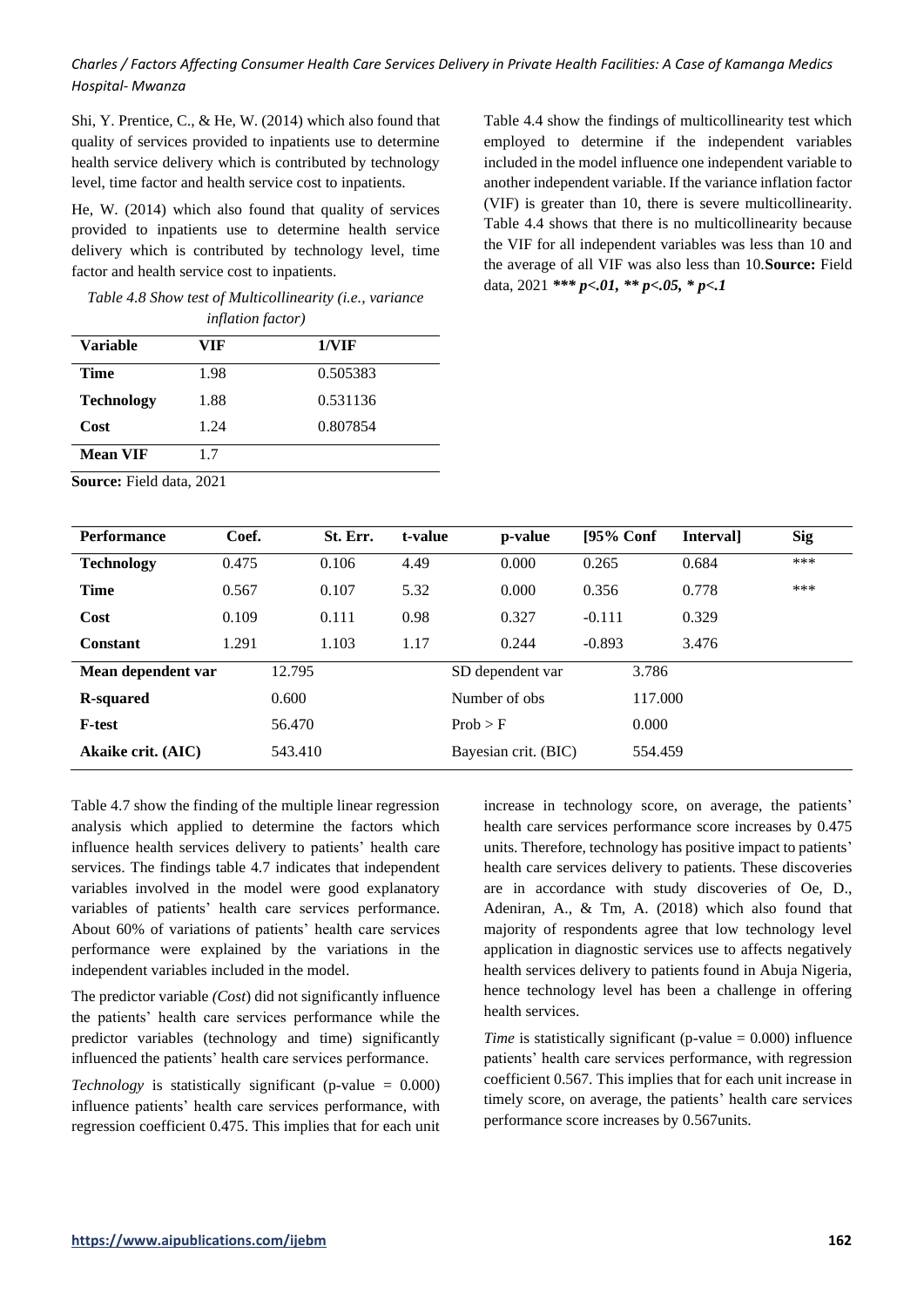Shi, Y. Prentice, C., & He, W. (2014) which also found that quality of services provided to inpatients use to determine health service delivery which is contributed by technology level, time factor and health service cost to inpatients.

He, W. (2014) which also found that quality of services provided to inpatients use to determine health service delivery which is contributed by technology level, time factor and health service cost to inpatients.

*Table 4.8 Show test of Multicollinearity (i.e., variance inflation factor)*

| Variable          | VIF  | 1/VIF    |
|-------------------|------|----------|
| Time              | 1.98 | 0.505383 |
| <b>Technology</b> | 1.88 | 0.531136 |
| Cost              | 1.24 | 0.807854 |
| <b>Mean VIF</b>   | 17   |          |

Table 4.4 show the findings of multicollinearity test which employed to determine if the independent variables included in the model influence one independent variable to another independent variable. If the variance inflation factor (VIF) is greater than 10, there is severe multicollinearity. Table 4.4 shows that there is no multicollinearity because the VIF for all independent variables was less than 10 and the average of all VIF was also less than 10.**Source:** Field data, 2021 *\*\*\* p<.01, \*\* p<.05, \* p<.1* 

| <b>Source:</b> Field data, 2021 |  |  |
|---------------------------------|--|--|
|                                 |  |  |

| Performance               | Coef. | St. Err. | t-value | p-value              | $[95%$ Conf | <b>Intervall</b> | <b>Sig</b> |
|---------------------------|-------|----------|---------|----------------------|-------------|------------------|------------|
| <b>Technology</b>         | 0.475 | 0.106    | 4.49    | 0.000                | 0.265       | 0.684            | ***        |
| <b>Time</b>               | 0.567 | 0.107    | 5.32    | 0.000                | 0.356       | 0.778            | ***        |
| Cost                      | 0.109 | 0.111    | 0.98    | 0.327                | $-0.111$    | 0.329            |            |
| Constant                  | 1.291 | 1.103    | 1.17    | 0.244                | $-0.893$    | 3.476            |            |
| Mean dependent var        |       | 12.795   |         | SD dependent var     | 3.786       |                  |            |
| <b>R-squared</b>          |       | 0.600    |         | Number of obs.       |             | 117.000          |            |
| <b>F-test</b>             |       | 56.470   |         | Prob > F             | 0.000       |                  |            |
| <b>Akaike crit.</b> (AIC) |       | 543.410  |         | Bayesian crit. (BIC) |             | 554.459          |            |

Table 4.7 show the finding of the multiple linear regression analysis which applied to determine the factors which influence health services delivery to patients' health care services. The findings table 4.7 indicates that independent variables involved in the model were good explanatory variables of patients' health care services performance. About 60% of variations of patients' health care services performance were explained by the variations in the independent variables included in the model.

The predictor variable *(Cost*) did not significantly influence the patients' health care services performance while the predictor variables (technology and time) significantly influenced the patients' health care services performance.

*Technology* is statistically significant (p-value  $= 0.000$ ) influence patients' health care services performance, with regression coefficient 0.475. This implies that for each unit increase in technology score, on average, the patients' health care services performance score increases by 0.475 units. Therefore, technology has positive impact to patients' health care services delivery to patients. These discoveries are in accordance with study discoveries of Oe, D., Adeniran, A., & Tm, A. (2018) which also found that majority of respondents agree that low technology level application in diagnostic services use to affects negatively health services delivery to patients found in Abuja Nigeria, hence technology level has been a challenge in offering health services.

*Time* is statistically significant (p-value = 0.000) influence patients' health care services performance, with regression coefficient 0.567. This implies that for each unit increase in timely score, on average, the patients' health care services performance score increases by 0.567units.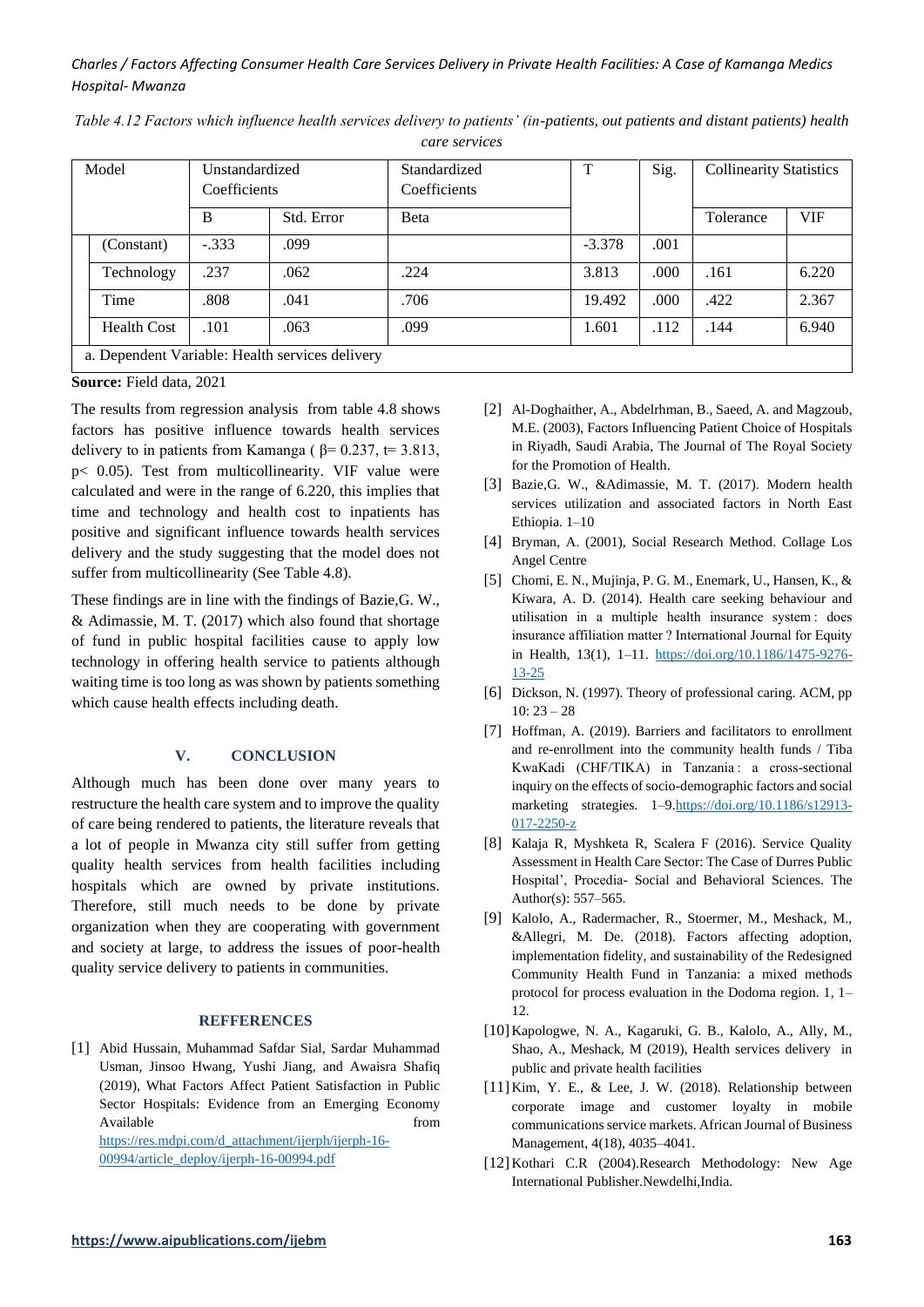| Model                                           |                    | Unstandardized<br>Coefficients |            | Standardized<br>Coefficients | T        | Sig. | <b>Collinearity Statistics</b> |            |
|-------------------------------------------------|--------------------|--------------------------------|------------|------------------------------|----------|------|--------------------------------|------------|
|                                                 |                    | B                              | Std. Error | <b>B</b> eta                 |          |      | Tolerance                      | <b>VIF</b> |
|                                                 | (Constant)         | $-.333$                        | .099       |                              | $-3.378$ | .001 |                                |            |
|                                                 | Technology         | .237                           | .062       | .224                         | 3.813    | .000 | .161                           | 6.220      |
|                                                 | Time               | .808                           | .041       | .706                         | 19.492   | .000 | .422                           | 2.367      |
|                                                 | <b>Health Cost</b> | .101                           | .063       | .099                         | 1.601    | .112 | .144                           | 6.940      |
| a. Dependent Variable: Health services delivery |                    |                                |            |                              |          |      |                                |            |

*Table 4.12 Factors which influence health services delivery to patients' (in-patients, out patients and distant patients) health care services*

**Source:** Field data, 2021

The results from regression analysis from table 4.8 shows factors has positive influence towards health services delivery to in patients from Kamanga ( $\beta$ = 0.237, t= 3.813, p< 0.05). Test from multicollinearity. VIF value were calculated and were in the range of 6.220, this implies that time and technology and health cost to inpatients has positive and significant influence towards health services delivery and the study suggesting that the model does not suffer from multicollinearity (See Table 4.8).

These findings are in line with the findings of Bazie,G. W., & Adimassie, M. T. (2017) which also found that shortage of fund in public hospital facilities cause to apply low technology in offering health service to patients although waiting time is too long as was shown by patients something which cause health effects including death.

# **V. CONCLUSION**

Although much has been done over many years to restructure the health care system and to improve the quality of care being rendered to patients, the literature reveals that a lot of people in Mwanza city still suffer from getting quality health services from health facilities including hospitals which are owned by private institutions. Therefore, still much needs to be done by private organization when they are cooperating with government and society at large, to address the issues of poor-health quality service delivery to patients in communities.

#### **REFFERENCES**

[1] Abid Hussain, Muhammad Safdar Sial, Sardar Muhammad Usman, Jinsoo Hwang, Yushi Jiang, and Awaisra Shafiq (2019), What Factors Affect Patient Satisfaction in Public Sector Hospitals: Evidence from an Emerging Economy Available from the state of the state of the state of the state of the state of the state of the state of the state of the state of the state of the state of the state of the state of the state of the state of the state of [https://res.mdpi.com/d\\_attachment/ijerph/ijerph-16-](https://res.mdpi.com/d_attachment/ijerph/ijerph-16-00994/article_deploy/ijerph-16-00994.pdf)

[00994/article\\_deploy/ijerph-16-00994.pdf](https://res.mdpi.com/d_attachment/ijerph/ijerph-16-00994/article_deploy/ijerph-16-00994.pdf)

- [2] Al-Doghaither, A., Abdelrhman, B., Saeed, A. and Magzoub, M.E. (2003), Factors Influencing Patient Choice of Hospitals in Riyadh, Saudi Arabia, The Journal of The Royal Society for the Promotion of Health.
- [3] Bazie,G. W., &Adimassie, M. T. (2017). Modern health services utilization and associated factors in North East Ethiopia. 1–10
- [4] Bryman, A. (2001), Social Research Method. Collage Los Angel Centre
- [5] Chomi, E. N., Mujinja, P. G. M., Enemark, U., Hansen, K., & Kiwara, A. D. (2014). Health care seeking behaviour and utilisation in a multiple health insurance system : does insurance affiliation matter ? International Journal for Equity in Health, 13(1), 1–11. [https://doi.org/10.1186/1475-9276-](https://doi.org/10.1186/1475-9276-13-25) [13-25](https://doi.org/10.1186/1475-9276-13-25)
- [6] Dickson, N. (1997). Theory of professional caring. ACM, pp  $10: 23 - 28$
- [7] Hoffman, A. (2019). Barriers and facilitators to enrollment and re-enrollment into the community health funds / Tiba KwaKadi (CHF/TIKA) in Tanzania : a cross-sectional inquiry on the effects of socio-demographic factors and social marketing strategies. 1-[9.https://doi.org/10.1186/s12913-](https://doi.org/10.1186/s12913-017-2250-z) [017-2250-z](https://doi.org/10.1186/s12913-017-2250-z)
- [8] Kalaja R, Myshketa R, Scalera F (2016). Service Quality Assessment in Health Care Sector: The Case of Durres Public Hospital', Procedia- Social and Behavioral Sciences. The Author(s): 557–565.
- [9] Kalolo, A., Radermacher, R., Stoermer, M., Meshack, M., &Allegri, M. De. (2018). Factors affecting adoption, implementation fidelity, and sustainability of the Redesigned Community Health Fund in Tanzania: a mixed methods protocol for process evaluation in the Dodoma region. 1, 1– 12.
- [10]Kapologwe, N. A., Kagaruki, G. B., Kalolo, A., Ally, M., Shao, A., Meshack, M (2019), Health services delivery in public and private health facilities
- [11]Kim, Y. E., & Lee, J. W. (2018). Relationship between corporate image and customer loyalty in mobile communications service markets. African Journal of Business Management, 4(18), 4035–4041.
- [12] Kothari C.R (2004).Research Methodology: New Age International Publisher.Newdelhi,India.